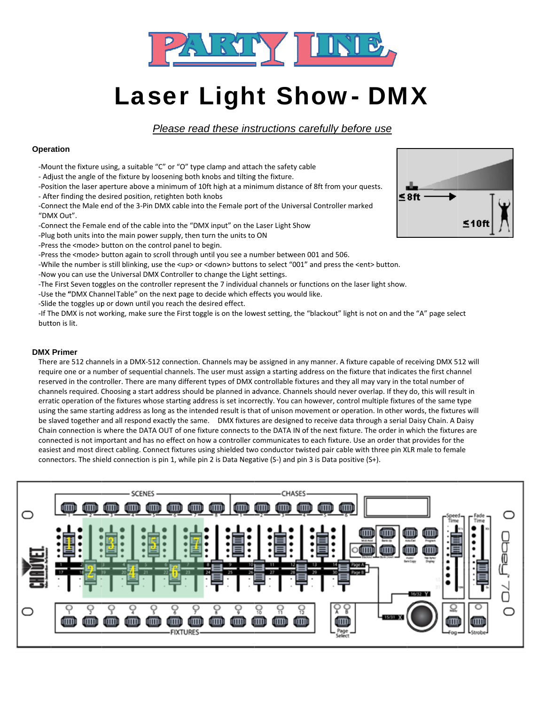

# **Laser Light Show- DMX**

## Please read these instructions carefully before use

## **Operation**

- -Mount the fixture using, a suitable "C" or "O" type clamp and attach the safety cable
- Adjust the angle of the fixture by loosening both knobs and tilting the fixture.
- -Position the laser aperture above a minimum of 10ft high at a minimum distance of 8ft from your quests.
- After finding the desired position, retighten both knobs
- -Connect the Male end of the 3-Pin DMX cable into the Female port of the Universal Controller marked "DMX Out".
- -Connect the Female end of the cable into the "DMX input" on the Laser Light Show
- -Plug both units into the main power supply, then turn the units to ON
- -Press the <mode> button on the control panel to begin.
- -Press the <mode> button again to scroll through until you see a number between 001 and 506.
- -While the number is still blinking, use the <up> or <down> buttons to select "001" and press the <ent> button.
- -Now you can use the Universal DMX Controller to change the Light settings.
- -The First Seven toggles on the controller represent the 7 individual channels or functions on the laser light show.
- -Use the "DMX Channel Table" on the next page to decide which effects you would like.
- -Slide the toggles up or down until you reach the desired effect.

-If The DMX is not working, make sure the First toggle is on the lowest setting, the "blackout" light is not on and the "A" page select hutton is lit

## **DMX Primer**

There are 512 channels in a DMX-512 connection. Channels may be assigned in any manner. A fixture capable of receiving DMX 512 will require one or a number of sequential channels. The user must assign a starting address on the fixture that indicates the first channel reserved in the controller. There are many different types of DMX controllable fixtures and they all may vary in the total number of channels required. Choosing a start address should be planned in advance. Channels should never overlap. If they do, this will result in erratic operation of the fixtures whose starting address is set incorrectly. You can however, control multiple fixtures of the same type using the same starting address as long as the intended result is that of unison movement or operation. In other words, the fixtures will be slaved together and all respond exactly the same. DMX fixtures are designed to receive data through a serial Daisy Chain. A Daisy Chain connection is where the DATA OUT of one fixture connects to the DATA IN of the next fixture. The order in which the fixtures are connected is not important and has no effect on how a controller communicates to each fixture. Use an order that provides for the easiest and most direct cabling. Connect fixtures using shielded two conductor twisted pair cable with three pin XLR male to female connectors. The shield connection is pin 1, while pin 2 is Data Negative (S-) and pin 3 is Data positive (S+).



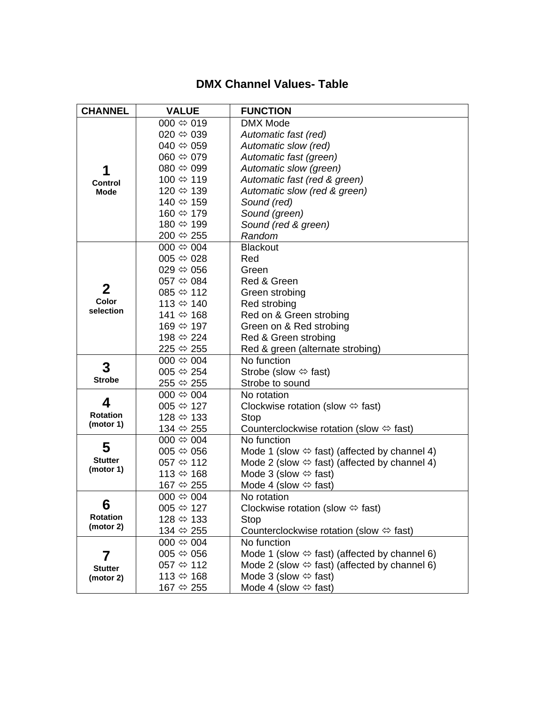# **DMX Channel Values- Table**

| <b>CHANNEL</b>                     | <b>VALUE</b>              | <b>FUNCTION</b>                                              |
|------------------------------------|---------------------------|--------------------------------------------------------------|
|                                    | 000 $\Leftrightarrow$ 019 | <b>DMX Mode</b>                                              |
|                                    | 020 $\Leftrightarrow$ 039 | Automatic fast (red)                                         |
|                                    | 040 $\Leftrightarrow$ 059 | Automatic slow (red)                                         |
|                                    | 060 $\Leftrightarrow$ 079 | Automatic fast (green)                                       |
| 1                                  | $080 \Leftrightarrow 099$ | Automatic slow (green)                                       |
| <b>Control</b><br><b>Mode</b>      | 100 ⇔ 119                 | Automatic fast (red & green)                                 |
|                                    | 120 ⇔ 139                 | Automatic slow (red & green)                                 |
|                                    | 140 ⇔ 159                 | Sound (red)                                                  |
|                                    | 160 ⇔ 179                 | Sound (green)                                                |
|                                    | 180 ⇔ 199                 | Sound (red & green)                                          |
|                                    | 200 ⇔ 255                 | Random                                                       |
|                                    | $000 \Leftrightarrow 004$ | <b>Blackout</b>                                              |
|                                    | 005 $\Leftrightarrow$ 028 | Red                                                          |
| $\mathbf{2}$<br>Color<br>selection | $029 \Leftrightarrow 056$ | Green                                                        |
|                                    | 057 $\Leftrightarrow$ 084 | Red & Green                                                  |
|                                    | 085 $\Leftrightarrow$ 112 | Green strobing                                               |
|                                    | 113 $\Leftrightarrow$ 140 | Red strobing                                                 |
|                                    | 141 ⇔ 168                 | Red on & Green strobing                                      |
|                                    | 169 ⇔ 197                 | Green on & Red strobing                                      |
|                                    | 198 ⇔ 224                 | Red & Green strobing                                         |
|                                    | 225 ⇔ 255                 | Red & green (alternate strobing)                             |
| 3<br><b>Strobe</b>                 | $000 \Leftrightarrow 004$ | No function                                                  |
|                                    | 005 $\Leftrightarrow$ 254 | Strobe (slow $\Leftrightarrow$ fast)                         |
|                                    | 255 ⇔ 255                 | Strobe to sound                                              |
| 4                                  | 000 $\Leftrightarrow$ 004 | No rotation                                                  |
|                                    | 005 $\Leftrightarrow$ 127 | Clockwise rotation (slow $\Leftrightarrow$ fast)             |
| <b>Rotation</b><br>(motor 1)       | 128 ⇔ 133                 | Stop                                                         |
|                                    | 134 ⇔ 255                 | Counterclockwise rotation (slow $\Leftrightarrow$ fast)      |
| 5<br><b>Stutter</b><br>(motor 1)   | $000 \Leftrightarrow 004$ | No function                                                  |
|                                    | $005 \Leftrightarrow 056$ | Mode 1 (slow $\Leftrightarrow$ fast) (affected by channel 4) |
|                                    | 057 $\Leftrightarrow$ 112 | Mode 2 (slow $\Leftrightarrow$ fast) (affected by channel 4) |
|                                    | 113 $\Leftrightarrow$ 168 | Mode 3 (slow $\Leftrightarrow$ fast)                         |
|                                    | 167 ⇔ 255                 | Mode 4 (slow $\Leftrightarrow$ fast)                         |
| 6<br><b>Rotation</b><br>(motor 2)  | $000 \Leftrightarrow 004$ | No rotation                                                  |
|                                    | $005 \Leftrightarrow 127$ | Clockwise rotation (slow $\Leftrightarrow$ fast)             |
|                                    | 128 ⇔ 133                 | Stop                                                         |
|                                    | 134 ⇔ 255                 | Counterclockwise rotation (slow $\Leftrightarrow$ fast)      |
|                                    | $000 \Leftrightarrow 004$ | No function                                                  |
| 7                                  | $005 \Leftrightarrow 056$ | Mode 1 (slow $\Leftrightarrow$ fast) (affected by channel 6) |
| <b>Stutter</b><br>(motor 2)        | 057 $\Leftrightarrow$ 112 | Mode 2 (slow $\Leftrightarrow$ fast) (affected by channel 6) |
|                                    | 113 $\Leftrightarrow$ 168 | Mode 3 (slow $\Leftrightarrow$ fast)                         |
|                                    | 167 ⇔ 255                 | Mode 4 (slow $\Leftrightarrow$ fast)                         |